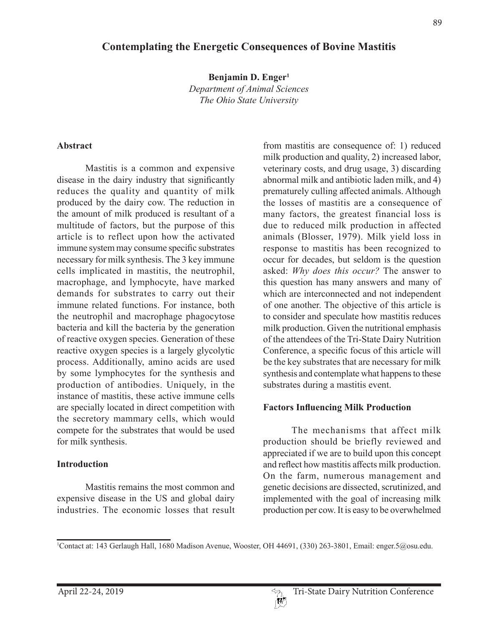# **Contemplating the Energetic Consequences of Bovine Mastitis**

**Benjamin D. Enger1**

*Department of Animal Sciences The Ohio State University*

#### **Abstract**

Mastitis is a common and expensive disease in the dairy industry that significantly reduces the quality and quantity of milk produced by the dairy cow. The reduction in the amount of milk produced is resultant of a multitude of factors, but the purpose of this article is to reflect upon how the activated immune system may consume specific substrates necessary for milk synthesis. The 3 key immune cells implicated in mastitis, the neutrophil, macrophage, and lymphocyte, have marked demands for substrates to carry out their immune related functions. For instance, both the neutrophil and macrophage phagocytose bacteria and kill the bacteria by the generation of reactive oxygen species. Generation of these reactive oxygen species is a largely glycolytic process. Additionally, amino acids are used by some lymphocytes for the synthesis and production of antibodies. Uniquely, in the instance of mastitis, these active immune cells are specially located in direct competition with the secretory mammary cells, which would compete for the substrates that would be used for milk synthesis.

#### **Introduction**

Mastitis remains the most common and expensive disease in the US and global dairy industries. The economic losses that result

from mastitis are consequence of: 1) reduced milk production and quality, 2) increased labor, veterinary costs, and drug usage, 3) discarding abnormal milk and antibiotic laden milk, and 4) prematurely culling affected animals. Although the losses of mastitis are a consequence of many factors, the greatest financial loss is due to reduced milk production in affected animals (Blosser, 1979). Milk yield loss in response to mastitis has been recognized to occur for decades, but seldom is the question asked: *Why does this occur?* The answer to this question has many answers and many of which are interconnected and not independent of one another. The objective of this article is to consider and speculate how mastitis reduces milk production. Given the nutritional emphasis of the attendees of the Tri-State Dairy Nutrition Conference, a specific focus of this article will be the key substrates that are necessary for milk synthesis and contemplate what happens to these substrates during a mastitis event.

#### **Factors Influencing Milk Production**

The mechanisms that affect milk production should be briefly reviewed and appreciated if we are to build upon this concept and reflect how mastitis affects milk production. On the farm, numerous management and genetic decisions are dissected, scrutinized, and implemented with the goal of increasing milk production per cow. It is easy to be overwhelmed

<sup>1</sup> Contact at: 143 Gerlaugh Hall, 1680 Madison Avenue, Wooster, OH 44691, (330) 263-3801, Email: enger.5@osu.edu.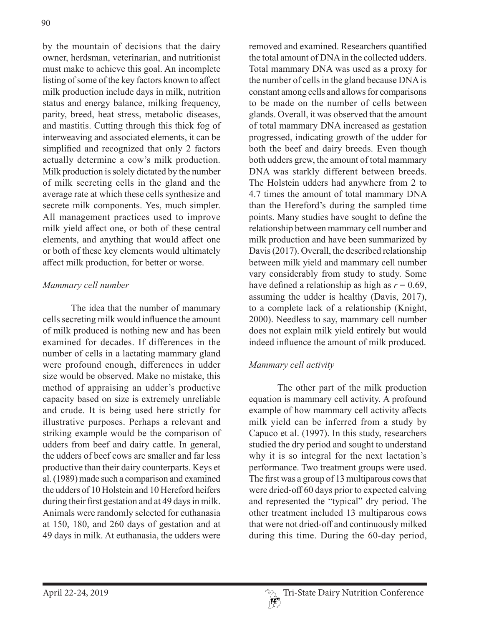by the mountain of decisions that the dairy owner, herdsman, veterinarian, and nutritionist must make to achieve this goal. An incomplete listing of some of the key factors known to affect milk production include days in milk, nutrition status and energy balance, milking frequency, parity, breed, heat stress, metabolic diseases, and mastitis. Cutting through this thick fog of interweaving and associated elements, it can be simplified and recognized that only 2 factors actually determine a cow's milk production. Milk production is solely dictated by the number of milk secreting cells in the gland and the average rate at which these cells synthesize and secrete milk components. Yes, much simpler. All management practices used to improve milk yield affect one, or both of these central elements, and anything that would affect one or both of these key elements would ultimately affect milk production, for better or worse.

## *Mammary cell number*

The idea that the number of mammary cells secreting milk would influence the amount of milk produced is nothing new and has been examined for decades. If differences in the number of cells in a lactating mammary gland were profound enough, differences in udder size would be observed. Make no mistake, this method of appraising an udder's productive capacity based on size is extremely unreliable and crude. It is being used here strictly for illustrative purposes. Perhaps a relevant and striking example would be the comparison of udders from beef and dairy cattle. In general, the udders of beef cows are smaller and far less productive than their dairy counterparts. Keys et al. (1989) made such a comparison and examined the udders of 10 Holstein and 10 Hereford heifers during their first gestation and at 49 days in milk. Animals were randomly selected for euthanasia at 150, 180, and 260 days of gestation and at 49 days in milk. At euthanasia, the udders were

removed and examined. Researchers quantified the total amount of DNA in the collected udders. Total mammary DNA was used as a proxy for the number of cells in the gland because DNA is constant among cells and allows for comparisons to be made on the number of cells between glands. Overall, it was observed that the amount of total mammary DNA increased as gestation progressed, indicating growth of the udder for both the beef and dairy breeds. Even though both udders grew, the amount of total mammary DNA was starkly different between breeds. The Holstein udders had anywhere from 2 to 4.7 times the amount of total mammary DNA than the Hereford's during the sampled time points. Many studies have sought to define the relationship between mammary cell number and milk production and have been summarized by Davis (2017). Overall, the described relationship between milk yield and mammary cell number vary considerably from study to study. Some have defined a relationship as high as  $r = 0.69$ , assuming the udder is healthy (Davis, 2017), to a complete lack of a relationship (Knight, 2000). Needless to say, mammary cell number does not explain milk yield entirely but would indeed influence the amount of milk produced.

## *Mammary cell activity*

The other part of the milk production equation is mammary cell activity. A profound example of how mammary cell activity affects milk yield can be inferred from a study by Capuco et al. (1997). In this study, researchers studied the dry period and sought to understand why it is so integral for the next lactation's performance. Two treatment groups were used. The first was a group of 13 multiparous cows that were dried-off 60 days prior to expected calving and represented the "typical" dry period. The other treatment included 13 multiparous cows that were not dried-off and continuously milked during this time. During the 60-day period,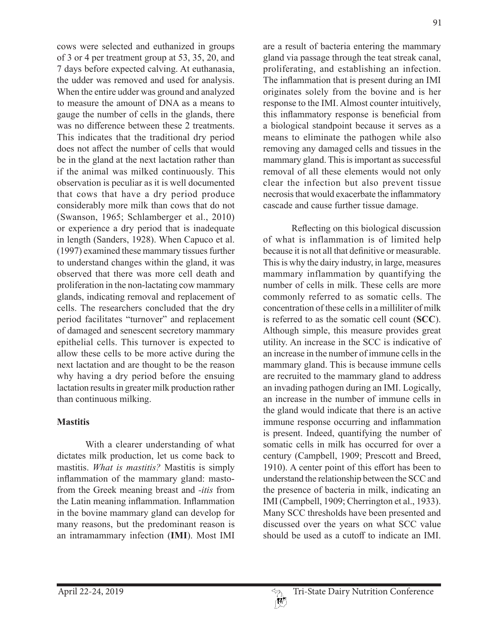cows were selected and euthanized in groups of 3 or 4 per treatment group at 53, 35, 20, and 7 days before expected calving. At euthanasia, the udder was removed and used for analysis. When the entire udder was ground and analyzed to measure the amount of DNA as a means to gauge the number of cells in the glands, there was no difference between these 2 treatments. This indicates that the traditional dry period does not affect the number of cells that would be in the gland at the next lactation rather than if the animal was milked continuously. This observation is peculiar as it is well documented that cows that have a dry period produce considerably more milk than cows that do not (Swanson, 1965; Schlamberger et al., 2010) or experience a dry period that is inadequate in length (Sanders, 1928). When Capuco et al. (1997) examined these mammary tissues further to understand changes within the gland, it was observed that there was more cell death and proliferation in the non-lactating cow mammary glands, indicating removal and replacement of cells. The researchers concluded that the dry period facilitates "turnover" and replacement of damaged and senescent secretory mammary epithelial cells. This turnover is expected to allow these cells to be more active during the next lactation and are thought to be the reason why having a dry period before the ensuing lactation results in greater milk production rather than continuous milking.

## **Mastitis**

With a clearer understanding of what dictates milk production, let us come back to mastitis. *What is mastitis?* Mastitis is simply inflammation of the mammary gland: mastofrom the Greek meaning breast and *-itis* from the Latin meaning inflammation. Inflammation in the bovine mammary gland can develop for many reasons, but the predominant reason is an intramammary infection (**IMI**). Most IMI

are a result of bacteria entering the mammary gland via passage through the teat streak canal, proliferating, and establishing an infection. The inflammation that is present during an IMI originates solely from the bovine and is her response to the IMI. Almost counter intuitively, this inflammatory response is beneficial from a biological standpoint because it serves as a means to eliminate the pathogen while also removing any damaged cells and tissues in the mammary gland. This is important as successful removal of all these elements would not only clear the infection but also prevent tissue necrosis that would exacerbate the inflammatory cascade and cause further tissue damage.

Reflecting on this biological discussion of what is inflammation is of limited help because it is not all that definitive or measurable. This is why the dairy industry, in large, measures mammary inflammation by quantifying the number of cells in milk. These cells are more commonly referred to as somatic cells. The concentration of these cells in a milliliter of milk is referred to as the somatic cell count (**SCC**). Although simple, this measure provides great utility. An increase in the SCC is indicative of an increase in the number of immune cells in the mammary gland. This is because immune cells are recruited to the mammary gland to address an invading pathogen during an IMI. Logically, an increase in the number of immune cells in the gland would indicate that there is an active immune response occurring and inflammation is present. Indeed, quantifying the number of somatic cells in milk has occurred for over a century (Campbell, 1909; Prescott and Breed, 1910). A center point of this effort has been to understand the relationship between the SCC and the presence of bacteria in milk, indicating an IMI (Campbell, 1909; Cherrington et al., 1933). Many SCC thresholds have been presented and discussed over the years on what SCC value should be used as a cutoff to indicate an IMI.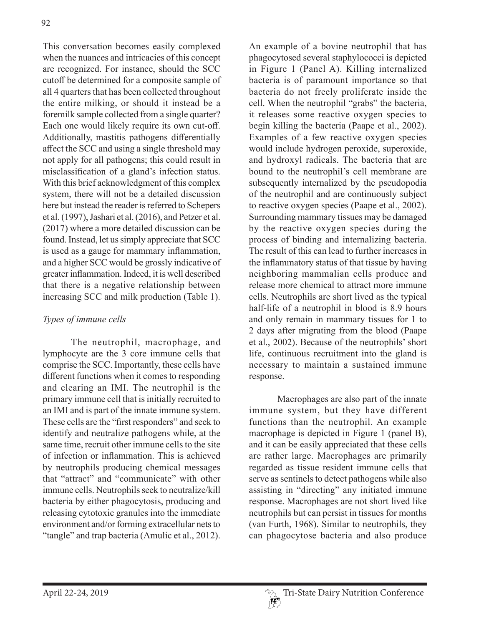This conversation becomes easily complexed when the nuances and intricacies of this concept are recognized. For instance, should the SCC cutoff be determined for a composite sample of all 4 quarters that has been collected throughout the entire milking, or should it instead be a foremilk sample collected from a single quarter? Each one would likely require its own cut-off. Additionally, mastitis pathogens differentially affect the SCC and using a single threshold may not apply for all pathogens; this could result in misclassification of a gland's infection status. With this brief acknowledgment of this complex system, there will not be a detailed discussion here but instead the reader is referred to Schepers et al. (1997), Jashari et al. (2016), and Petzer et al. (2017) where a more detailed discussion can be found. Instead, let us simply appreciate that SCC is used as a gauge for mammary inflammation, and a higher SCC would be grossly indicative of greater inflammation. Indeed, it is well described that there is a negative relationship between increasing SCC and milk production (Table 1).

# *Types of immune cells*

The neutrophil, macrophage, and lymphocyte are the 3 core immune cells that comprise the SCC. Importantly, these cells have different functions when it comes to responding and clearing an IMI. The neutrophil is the primary immune cell that is initially recruited to an IMI and is part of the innate immune system. These cells are the "first responders" and seek to identify and neutralize pathogens while, at the same time, recruit other immune cells to the site of infection or inflammation. This is achieved by neutrophils producing chemical messages that "attract" and "communicate" with other immune cells. Neutrophils seek to neutralize/kill bacteria by either phagocytosis, producing and releasing cytotoxic granules into the immediate environment and/or forming extracellular nets to "tangle" and trap bacteria (Amulic et al., 2012).

An example of a bovine neutrophil that has phagocytosed several staphylococci is depicted in Figure 1 (Panel A). Killing internalized bacteria is of paramount importance so that bacteria do not freely proliferate inside the cell. When the neutrophil "grabs" the bacteria, it releases some reactive oxygen species to begin killing the bacteria (Paape et al., 2002). Examples of a few reactive oxygen species would include hydrogen peroxide, superoxide, and hydroxyl radicals. The bacteria that are bound to the neutrophil's cell membrane are subsequently internalized by the pseudopodia of the neutrophil and are continuously subject to reactive oxygen species (Paape et al., 2002). Surrounding mammary tissues may be damaged by the reactive oxygen species during the process of binding and internalizing bacteria. The result of this can lead to further increases in the inflammatory status of that tissue by having neighboring mammalian cells produce and release more chemical to attract more immune cells. Neutrophils are short lived as the typical half-life of a neutrophil in blood is 8.9 hours and only remain in mammary tissues for 1 to 2 days after migrating from the blood (Paape et al., 2002). Because of the neutrophils' short life, continuous recruitment into the gland is necessary to maintain a sustained immune response.

Macrophages are also part of the innate immune system, but they have different functions than the neutrophil. An example macrophage is depicted in Figure 1 (panel B), and it can be easily appreciated that these cells are rather large. Macrophages are primarily regarded as tissue resident immune cells that serve as sentinels to detect pathogens while also assisting in "directing" any initiated immune response. Macrophages are not short lived like neutrophils but can persist in tissues for months (van Furth, 1968). Similar to neutrophils, they can phagocytose bacteria and also produce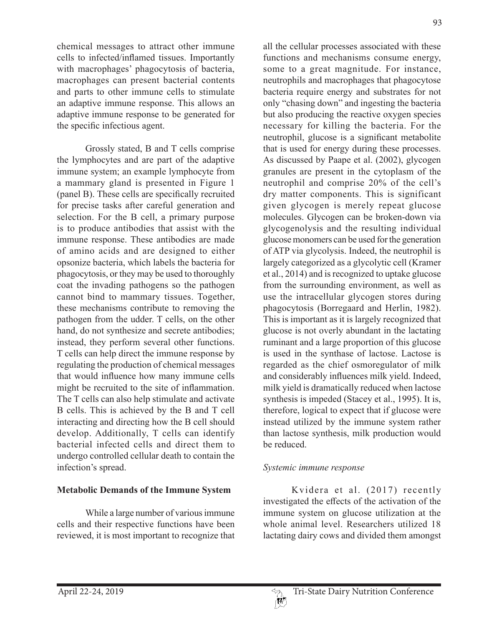chemical messages to attract other immune cells to infected/inflamed tissues. Importantly with macrophages' phagocytosis of bacteria, macrophages can present bacterial contents and parts to other immune cells to stimulate an adaptive immune response. This allows an adaptive immune response to be generated for the specific infectious agent.

Grossly stated, B and T cells comprise the lymphocytes and are part of the adaptive immune system; an example lymphocyte from a mammary gland is presented in Figure 1 (panel B). These cells are specifically recruited for precise tasks after careful generation and selection. For the B cell, a primary purpose is to produce antibodies that assist with the immune response. These antibodies are made of amino acids and are designed to either opsonize bacteria, which labels the bacteria for phagocytosis, or they may be used to thoroughly coat the invading pathogens so the pathogen cannot bind to mammary tissues. Together, these mechanisms contribute to removing the pathogen from the udder. T cells, on the other hand, do not synthesize and secrete antibodies; instead, they perform several other functions. T cells can help direct the immune response by regulating the production of chemical messages that would influence how many immune cells might be recruited to the site of inflammation. The T cells can also help stimulate and activate B cells. This is achieved by the B and T cell interacting and directing how the B cell should develop. Additionally, T cells can identify bacterial infected cells and direct them to undergo controlled cellular death to contain the infection's spread.

### **Metabolic Demands of the Immune System**

While a large number of various immune cells and their respective functions have been reviewed, it is most important to recognize that all the cellular processes associated with these functions and mechanisms consume energy, some to a great magnitude. For instance, neutrophils and macrophages that phagocytose bacteria require energy and substrates for not only "chasing down" and ingesting the bacteria but also producing the reactive oxygen species necessary for killing the bacteria. For the neutrophil, glucose is a significant metabolite that is used for energy during these processes. As discussed by Paape et al. (2002), glycogen granules are present in the cytoplasm of the neutrophil and comprise 20% of the cell's dry matter components. This is significant given glycogen is merely repeat glucose molecules. Glycogen can be broken-down via glycogenolysis and the resulting individual glucose monomers can be used for the generation of ATP via glycolysis. Indeed, the neutrophil is largely categorized as a glycolytic cell (Kramer et al., 2014) and is recognized to uptake glucose from the surrounding environment, as well as use the intracellular glycogen stores during phagocytosis (Borregaard and Herlin, 1982). This is important as it is largely recognized that glucose is not overly abundant in the lactating ruminant and a large proportion of this glucose is used in the synthase of lactose. Lactose is regarded as the chief osmoregulator of milk and considerably influences milk yield. Indeed, milk yield is dramatically reduced when lactose synthesis is impeded (Stacey et al., 1995). It is, therefore, logical to expect that if glucose were instead utilized by the immune system rather than lactose synthesis, milk production would be reduced.

### *Systemic immune response*

Kvidera et al. (2017) recently investigated the effects of the activation of the immune system on glucose utilization at the whole animal level. Researchers utilized 18 lactating dairy cows and divided them amongst

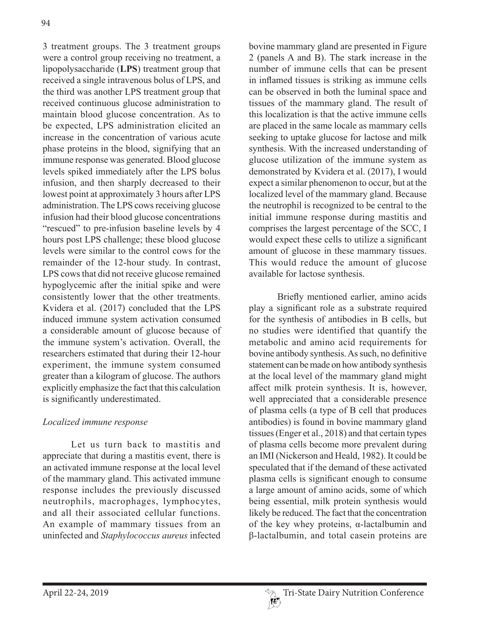3 treatment groups. The 3 treatment groups were a control group receiving no treatment, a lipopolysaccharide (**LPS**) treatment group that received a single intravenous bolus of LPS, and the third was another LPS treatment group that received continuous glucose administration to maintain blood glucose concentration. As to be expected, LPS administration elicited an increase in the concentration of various acute phase proteins in the blood, signifying that an immune response was generated. Blood glucose levels spiked immediately after the LPS bolus infusion, and then sharply decreased to their lowest point at approximately 3 hours after LPS administration. The LPS cows receiving glucose infusion had their blood glucose concentrations "rescued" to pre-infusion baseline levels by 4 hours post LPS challenge; these blood glucose levels were similar to the control cows for the remainder of the 12-hour study. In contrast, LPS cows that did not receive glucose remained hypoglycemic after the initial spike and were consistently lower that the other treatments. Kvidera et al. (2017) concluded that the LPS induced immune system activation consumed a considerable amount of glucose because of the immune system's activation. Overall, the researchers estimated that during their 12-hour experiment, the immune system consumed greater than a kilogram of glucose. The authors explicitly emphasize the fact that this calculation is significantly underestimated.

## *Localized immune response*

Let us turn back to mastitis and appreciate that during a mastitis event, there is an activated immune response at the local level of the mammary gland. This activated immune response includes the previously discussed neutrophils, macrophages, lymphocytes, and all their associated cellular functions. An example of mammary tissues from an uninfected and *Staphylococcus aureus* infected

bovine mammary gland are presented in Figure 2 (panels A and B). The stark increase in the number of immune cells that can be present in inflamed tissues is striking as immune cells can be observed in both the luminal space and tissues of the mammary gland. The result of this localization is that the active immune cells are placed in the same locale as mammary cells seeking to uptake glucose for lactose and milk synthesis. With the increased understanding of glucose utilization of the immune system as demonstrated by Kvidera et al. (2017), I would expect a similar phenomenon to occur, but at the localized level of the mammary gland. Because the neutrophil is recognized to be central to the initial immune response during mastitis and comprises the largest percentage of the SCC, I would expect these cells to utilize a significant amount of glucose in these mammary tissues. This would reduce the amount of glucose available for lactose synthesis.

Briefly mentioned earlier, amino acids play a significant role as a substrate required for the synthesis of antibodies in B cells, but no studies were identified that quantify the metabolic and amino acid requirements for bovine antibody synthesis. As such, no definitive statement can be made on how antibody synthesis at the local level of the mammary gland might affect milk protein synthesis. It is, however, well appreciated that a considerable presence of plasma cells (a type of B cell that produces antibodies) is found in bovine mammary gland tissues (Enger et al., 2018) and that certain types of plasma cells become more prevalent during an IMI (Nickerson and Heald, 1982). It could be speculated that if the demand of these activated plasma cells is significant enough to consume a large amount of amino acids, some of which being essential, milk protein synthesis would likely be reduced. The fact that the concentration of the key whey proteins, α-lactalbumin and β-lactalbumin, and total casein proteins are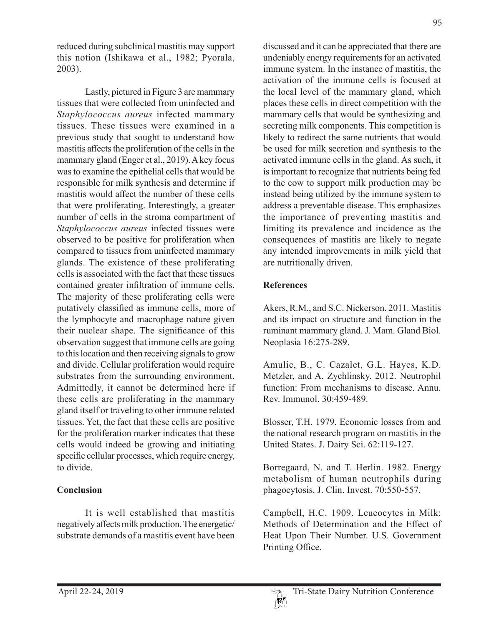reduced during subclinical mastitis may support this notion (Ishikawa et al., 1982; Pyorala, 2003).

Lastly, pictured in Figure 3 are mammary tissues that were collected from uninfected and *Staphylococcus aureus* infected mammary tissues. These tissues were examined in a previous study that sought to understand how mastitis affects the proliferation of the cells in the mammary gland (Enger et al., 2019). A key focus was to examine the epithelial cells that would be responsible for milk synthesis and determine if mastitis would affect the number of these cells that were proliferating. Interestingly, a greater number of cells in the stroma compartment of *Staphylococcus aureus* infected tissues were observed to be positive for proliferation when compared to tissues from uninfected mammary glands. The existence of these proliferating cells is associated with the fact that these tissues contained greater infiltration of immune cells. The majority of these proliferating cells were putatively classified as immune cells, more of the lymphocyte and macrophage nature given their nuclear shape. The significance of this observation suggest that immune cells are going to this location and then receiving signals to grow and divide. Cellular proliferation would require substrates from the surrounding environment. Admittedly, it cannot be determined here if these cells are proliferating in the mammary gland itself or traveling to other immune related tissues. Yet, the fact that these cells are positive for the proliferation marker indicates that these cells would indeed be growing and initiating specific cellular processes, which require energy, to divide.

## **Conclusion**

It is well established that mastitis negatively affects milk production. The energetic/ substrate demands of a mastitis event have been discussed and it can be appreciated that there are undeniably energy requirements for an activated immune system. In the instance of mastitis, the activation of the immune cells is focused at the local level of the mammary gland, which places these cells in direct competition with the mammary cells that would be synthesizing and secreting milk components. This competition is likely to redirect the same nutrients that would be used for milk secretion and synthesis to the activated immune cells in the gland. As such, it is important to recognize that nutrients being fed to the cow to support milk production may be instead being utilized by the immune system to address a preventable disease. This emphasizes the importance of preventing mastitis and limiting its prevalence and incidence as the consequences of mastitis are likely to negate any intended improvements in milk yield that are nutritionally driven.

## **References**

Akers, R.M., and S.C. Nickerson. 2011. Mastitis and its impact on structure and function in the ruminant mammary gland. J. Mam. Gland Biol. Neoplasia 16:275-289.

Amulic, B., C. Cazalet, G.L. Hayes, K.D. Metzler, and A. Zychlinsky. 2012. Neutrophil function: From mechanisms to disease. Annu. Rev. Immunol. 30:459-489.

Blosser, T.H. 1979. Economic losses from and the national research program on mastitis in the United States. J. Dairy Sci. 62:119-127.

Borregaard, N. and T. Herlin. 1982. Energy metabolism of human neutrophils during phagocytosis. J. Clin. Invest. 70:550-557.

Campbell, H.C. 1909. Leucocytes in Milk: Methods of Determination and the Effect of Heat Upon Their Number. U.S. Government Printing Office.

95

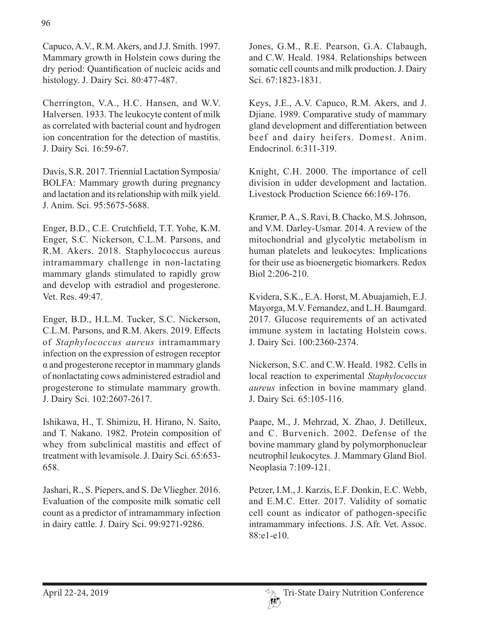Capuco, A.V., R.M. Akers, and J.J. Smith. 1997. Mammary growth in Holstein cows during the dry period: Quantification of nucleic acids and histology. J. Dairy Sci. 80:477-487.

Cherrington, V.A., H.C. Hansen, and W.V. Halversen. 1933. The leukocyte content of milk as correlated with bacterial count and hydrogen ion concentration for the detection of mastitis. J. Dairy Sci. 16:59-67.

Davis, S.R. 2017. Triennial Lactation Symposia/ BOLFA: Mammary growth during pregnancy and lactation and its relationship with milk yield. J. Anim. Sci. 95:5675-5688.

Enger, B.D., C.E. Crutchfield, T.T. Yohe, K.M. Enger, S.C. Nickerson, C.L.M. Parsons, and R.M. Akers. 2018. Staphylococcus aureus intramammary challenge in non-lactating mammary glands stimulated to rapidly grow and develop with estradiol and progesterone. Vet. Res. 49:47.

Enger, B.D., H.L.M. Tucker, S.C. Nickerson, C.L.M. Parsons, and R.M. Akers. 2019. Effects of *Staphylococcus aureus* intramammary infection on the expression of estrogen receptor α and progesterone receptor in mammary glands of nonlactating cows administered estradiol and progesterone to stimulate mammary growth. J. Dairy Sci. 102:2607-2617.

Ishikawa, H., T. Shimizu, H. Hirano, N. Saito, and T. Nakano. 1982. Protein composition of whey from subclinical mastitis and effect of treatment with levamisole. J. Dairy Sci. 65:653- 658.

Jashari, R., S. Piepers, and S. De Vliegher. 2016. Evaluation of the composite milk somatic cell count as a predictor of intramammary infection in dairy cattle. J. Dairy Sci. 99:9271-9286.

Jones, G.M., R.E. Pearson, G.A. Clabaugh, and C.W. Heald. 1984. Relationships between somatic cell counts and milk production. J. Dairy Sci. 67:1823-1831.

Keys, J.E., A.V. Capuco, R.M. Akers, and J. Djiane. 1989. Comparative study of mammary gland development and differentiation between beef and dairy heifers. Domest. Anim. Endocrinol. 6:311-319.

Knight, C.H. 2000. The importance of cell division in udder development and lactation. Livestock Production Science 66:169-176.

Kramer, P. A., S. Ravi, B. Chacko, M.S. Johnson, and V.M. Darley-Usmar. 2014. A review of the mitochondrial and glycolytic metabolism in human platelets and leukocytes: Implications for their use as bioenergetic biomarkers. Redox Biol 2:206-210.

Kvidera, S.K., E.A. Horst, M. Abuajamieh, E.J. Mayorga, M.V. Fernandez, and L.H. Baumgard. 2017. Glucose requirements of an activated immune system in lactating Holstein cows. J. Dairy Sci. 100:2360-2374.

Nickerson, S.C. and C.W. Heald. 1982. Cells in local reaction to experimental *Staphylococcus aureus* infection in bovine mammary gland. J. Dairy Sci. 65:105-116.

Paape, M., J. Mehrzad, X. Zhao, J. Detilleux, and C. Burvenich. 2002. Defense of the bovine mammary gland by polymorphonuclear neutrophil leukocytes. J. Mammary Gland Biol. Neoplasia 7:109-121.

Petzer, I.M., J. Karzis, E.F. Donkin, E.C. Webb, and E.M.C. Etter. 2017. Validity of somatic cell count as indicator of pathogen-specific intramammary infections. J.S. Afr. Vet. Assoc. 88:e1-e10.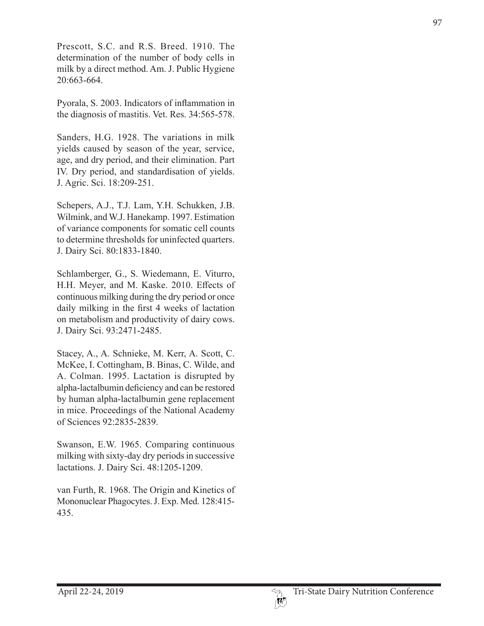Prescott, S.C. and R.S. Breed. 1910. The determination of the number of body cells in milk by a direct method. Am. J. Public Hygiene 20:663-664.

Pyorala, S. 2003. Indicators of inflammation in the diagnosis of mastitis. Vet. Res. 34:565-578.

Sanders, H.G. 1928. The variations in milk yields caused by season of the year, service, age, and dry period, and their elimination. Part IV. Dry period, and standardisation of yields. J. Agric. Sci. 18:209-251.

Schepers, A.J., T.J. Lam, Y.H. Schukken, J.B. Wilmink, and W.J. Hanekamp. 1997. Estimation of variance components for somatic cell counts to determine thresholds for uninfected quarters. J. Dairy Sci. 80:1833-1840.

Schlamberger, G., S. Wiedemann, E. Viturro, H.H. Meyer, and M. Kaske. 2010. Effects of continuous milking during the dry period or once daily milking in the first 4 weeks of lactation on metabolism and productivity of dairy cows. J. Dairy Sci. 93:2471-2485.

Stacey, A., A. Schnieke, M. Kerr, A. Scott, C. McKee, I. Cottingham, B. Binas, C. Wilde, and A. Colman. 1995. Lactation is disrupted by alpha-lactalbumin deficiency and can be restored by human alpha-lactalbumin gene replacement in mice. Proceedings of the National Academy of Sciences 92:2835-2839.

Swanson, E.W. 1965. Comparing continuous milking with sixty-day dry periods in successive lactations. J. Dairy Sci. 48:1205-1209.

van Furth, R. 1968. The Origin and Kinetics of Mononuclear Phagocytes. J. Exp. Med. 128:415- 435.

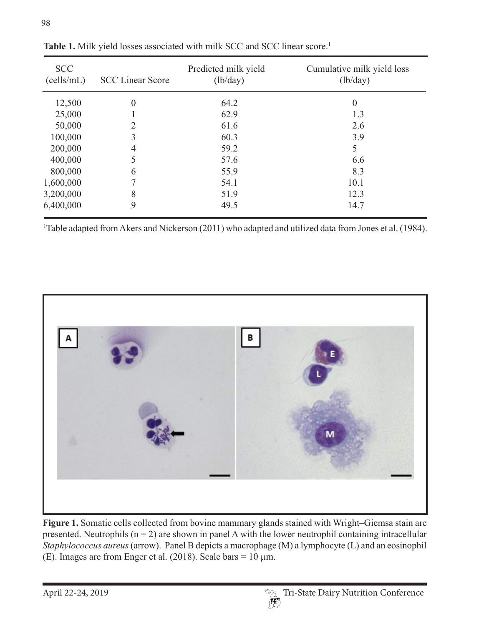| <b>SCC</b><br>(cells/mL) | <b>SCC Linear Score</b> | Predicted milk yield<br>(lb/day) | Cumulative milk yield loss<br>(lb/day) |
|--------------------------|-------------------------|----------------------------------|----------------------------------------|
| 12,500                   | $\theta$                | 64.2                             | $\boldsymbol{0}$                       |
| 25,000                   |                         | 62.9                             | 1.3                                    |
| 50,000                   | 2                       | 61.6                             | 2.6                                    |
| 100,000                  | 3                       | 60.3                             | 3.9                                    |
| 200,000                  | 4                       | 59.2                             | 5                                      |
| 400,000                  | 5                       | 57.6                             | 6.6                                    |
| 800,000                  | 6                       | 55.9                             | 8.3                                    |
| 1,600,000                |                         | 54.1                             | 10.1                                   |
| 3,200,000                | 8                       | 51.9                             | 12.3                                   |
| 6,400,000                | 9                       | 49.5                             | 14.7                                   |

Table 1. Milk yield losses associated with milk SCC and SCC linear score.<sup>1</sup>

<sup>1</sup>Table adapted from Akers and Nickerson (2011) who adapted and utilized data from Jones et al. (1984).



**Figure 1.** Somatic cells collected from bovine mammary glands stained with Wright–Giemsa stain are presented. Neutrophils  $(n = 2)$  are shown in panel A with the lower neutrophil containing intracellular *Staphylococcus aureus* (arrow). Panel B depicts a macrophage (M) a lymphocyte (L) and an eosinophil (E). Images are from Enger et al. (2018). Scale bars =  $10 \mu m$ .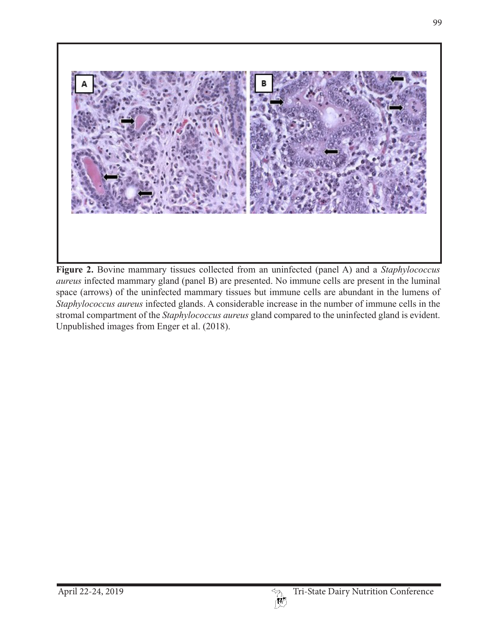

**Figure 2.** Bovine mammary tissues collected from an uninfected (panel A) and a *Staphylococcus aureus* infected mammary gland (panel B) are presented. No immune cells are present in the luminal space (arrows) of the uninfected mammary tissues but immune cells are abundant in the lumens of *Staphylococcus aureus* infected glands. A considerable increase in the number of immune cells in the stromal compartment of the *Staphylococcus aureus* gland compared to the uninfected gland is evident. Unpublished images from Enger et al. (2018).